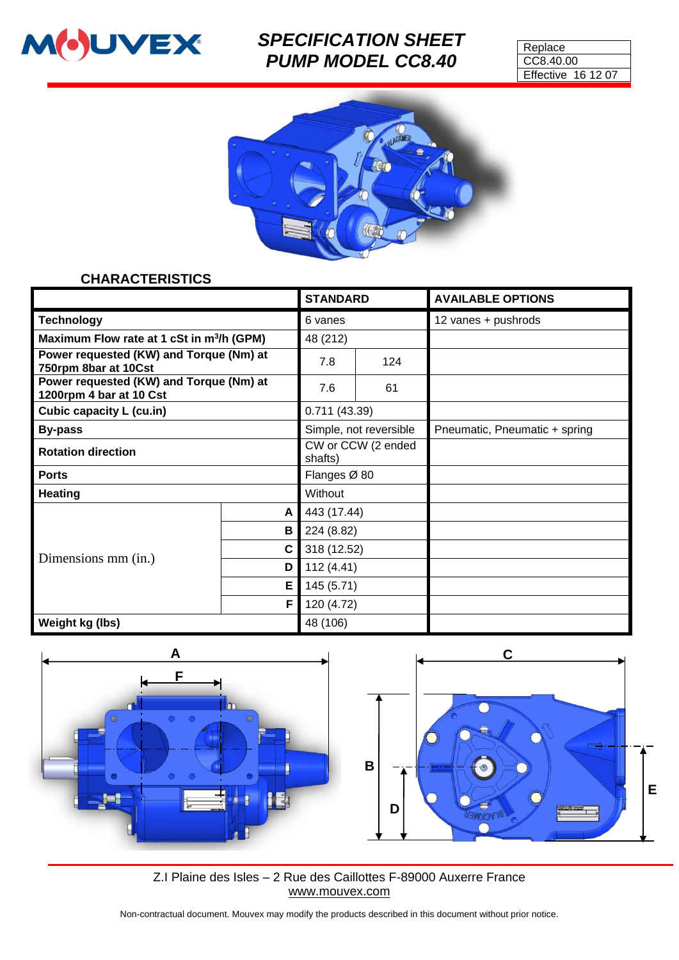

# *SPECIFICATION SHEET PUMP MODEL CC8.40*

| Replace                   |  |  |  |  |
|---------------------------|--|--|--|--|
| CC8.40.00                 |  |  |  |  |
| <b>Effective 16 12 07</b> |  |  |  |  |



#### **CHARACTERISTICS**

|                                                                    |              | <b>STANDARD</b>               |     | <b>AVAILABLE OPTIONS</b>      |
|--------------------------------------------------------------------|--------------|-------------------------------|-----|-------------------------------|
| <b>Technology</b>                                                  |              | 6 vanes                       |     | 12 vanes + pushrods           |
| Maximum Flow rate at 1 cSt in m <sup>3</sup> /h (GPM)              |              | 48 (212)                      |     |                               |
| Power requested (KW) and Torque (Nm) at<br>750rpm 8bar at 10Cst    |              | 7.8                           | 124 |                               |
| Power requested (KW) and Torque (Nm) at<br>1200rpm 4 bar at 10 Cst |              | 7.6                           | 61  |                               |
| Cubic capacity L (cu.in)                                           |              | 0.711(43.39)                  |     |                               |
| <b>By-pass</b>                                                     |              | Simple, not reversible        |     | Pneumatic, Pneumatic + spring |
| <b>Rotation direction</b>                                          |              | CW or CCW (2 ended<br>shafts) |     |                               |
| <b>Ports</b>                                                       |              | Flanges Ø 80                  |     |                               |
| <b>Heating</b>                                                     |              | Without                       |     |                               |
| Dimensions mm (in.)                                                | $\mathsf{A}$ | 443 (17.44)                   |     |                               |
|                                                                    | $\mathbf{B}$ | 224 (8.82)                    |     |                               |
|                                                                    | $\mathbf{C}$ | 318 (12.52)                   |     |                               |
|                                                                    | D            | 112(4.41)                     |     |                               |
|                                                                    | E.           | 145 (5.71)                    |     |                               |
|                                                                    | F.           | 120 (4.72)                    |     |                               |
| Weight kg (lbs)                                                    |              | 48 (106)                      |     |                               |



Z.I Plaine des Isles – 2 Rue des Caillottes F-89000 Auxerre France [www.mouvex.com](http://www.mouvex.com/)

Non-contractual document. Mouvex may modify the products described in this document without prior notice.